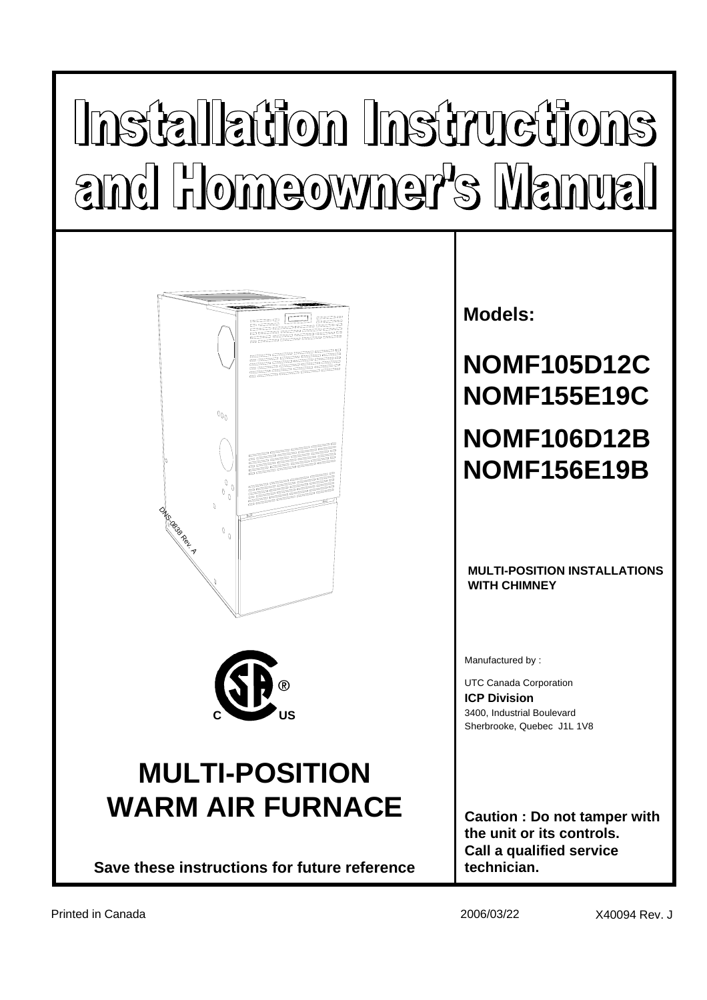# Installation Instructions and Homeowner's Manual





## **MULTI-POSITION WARM AIR FURNACE**

**Save these instructions for future reference**

## **Models:**

## **NOMF105D12C NOMF155E19C NOMF106D12B NOMF156E19B**

#### **MULTI-POSITION INSTALLATIONS WITH CHIMNEY**

Manufactured by :

**ICP Division**  UTC Canada Corporation Sherbrooke, Quebec J1L 1V8 **C US** 3400, Industrial Boulevard

**Caution : Do not tamper with the unit or its controls. Call a qualified service technician.**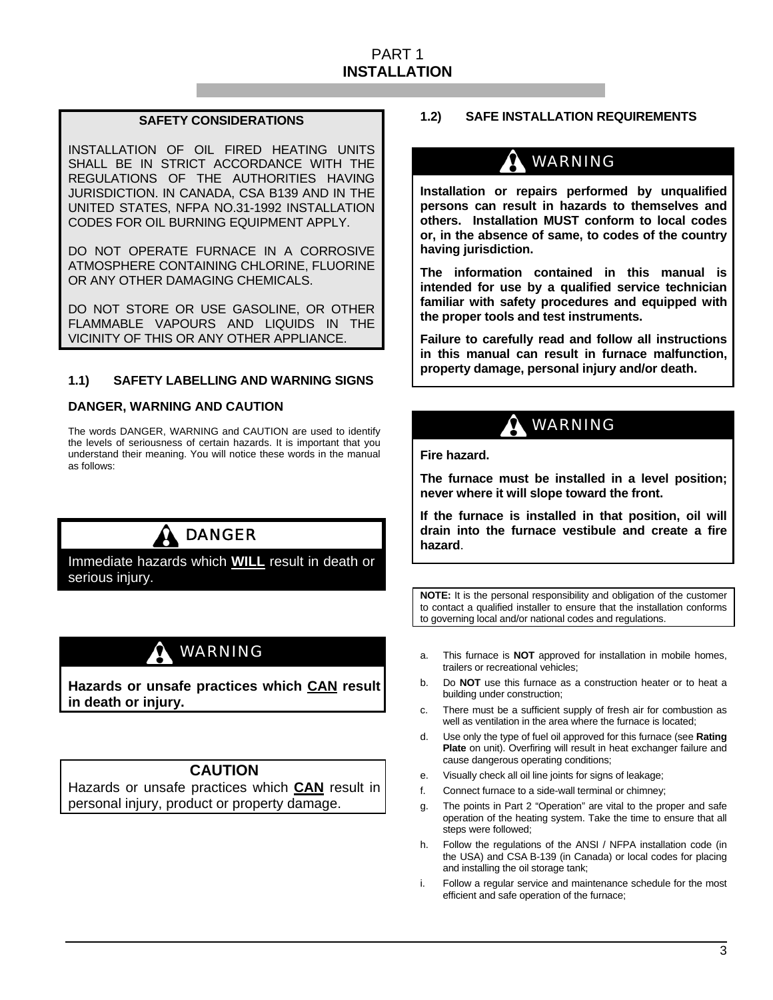#### PART 1 **INSTALLATION**

#### **SAFETY CONSIDERATIONS**

INSTALLATION OF OIL FIRED HEATING UNITS SHALL BE IN STRICT ACCORDANCE WITH THE REGULATIONS OF THE AUTHORITIES HAVING JURISDICTION. IN CANADA, CSA B139 AND IN THE UNITED STATES, NFPA NO.31-1992 INSTALLATION CODES FOR OIL BURNING EQUIPMENT APPLY.

DO NOT OPERATE FURNACE IN A CORROSIVE ATMOSPHERE CONTAINING CHLORINE, FLUORINE OR ANY OTHER DAMAGING CHEMICALS.

DO NOT STORE OR USE GASOLINE, OR OTHER FLAMMABLE VAPOURS AND LIQUIDS IN THE VICINITY OF THIS OR ANY OTHER APPLIANCE.

#### **1.1) SAFETY LABELLING AND WARNING SIGNS**

#### **DANGER, WARNING AND CAUTION**

The words DANGER, WARNING and CAUTION are used to identify the levels of seriousness of certain hazards. It is important that you understand their meaning. You will notice these words in the manual as follows:

## **A DANGER**

Immediate hazards which **WILL** result in death or serious injury.

## WARNING

**Hazards or unsafe practices which CAN result in death or injury.** 

#### **CAUTION**

Hazards or unsafe practices which **CAN** result in personal injury, product or property damage.

#### **1.2) SAFE INSTALLATION REQUIREMENTS**

## WARNING

**Installation or repairs performed by unqualified persons can result in hazards to themselves and others. Installation MUST conform to local codes or, in the absence of same, to codes of the country having jurisdiction.** 

**The information contained in this manual is intended for use by a qualified service technician familiar with safety procedures and equipped with the proper tools and test instruments.** 

**Failure to carefully read and follow all instructions in this manual can result in furnace malfunction, property damage, personal injury and/or death.** 

### WARNING

**Fire hazard.** 

**The furnace must be installed in a level position; never where it will slope toward the front.** 

**If the furnace is installed in that position, oil will drain into the furnace vestibule and create a fire hazard**.

**NOTE:** It is the personal responsibility and obligation of the customer to contact a qualified installer to ensure that the installation conforms to governing local and/or national codes and regulations.

- a. This furnace is **NOT** approved for installation in mobile homes, trailers or recreational vehicles;
- b. Do **NOT** use this furnace as a construction heater or to heat a building under construction;
- c. There must be a sufficient supply of fresh air for combustion as well as ventilation in the area where the furnace is located;
- d. Use only the type of fuel oil approved for this furnace (see **Rating Plate** on unit). Overfiring will result in heat exchanger failure and cause dangerous operating conditions;
- e. Visually check all oil line joints for signs of leakage;
- f. Connect furnace to a side-wall terminal or chimney;
- g. The points in Part 2 "Operation" are vital to the proper and safe operation of the heating system. Take the time to ensure that all steps were followed;
- h. Follow the regulations of the ANSI / NFPA installation code (in the USA) and CSA B-139 (in Canada) or local codes for placing and installing the oil storage tank;
- i. Follow a regular service and maintenance schedule for the most efficient and safe operation of the furnace;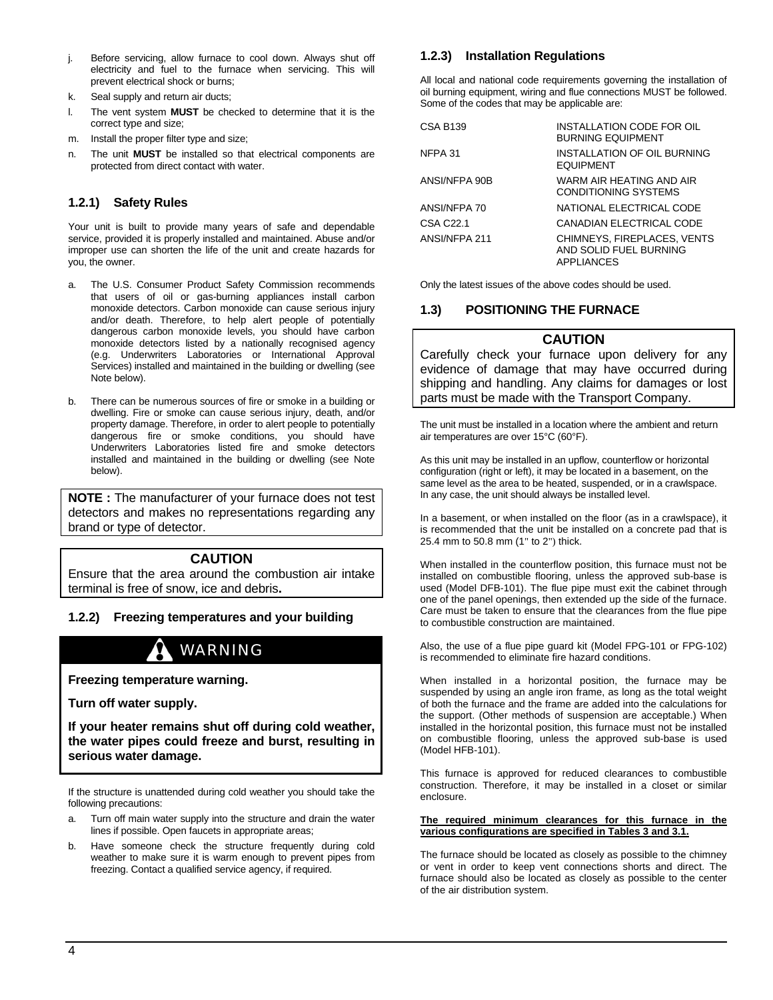- j. Before servicing, allow furnace to cool down. Always shut off electricity and fuel to the furnace when servicing. This will prevent electrical shock or burns;
- k. Seal supply and return air ducts;
- l. The vent system **MUST** be checked to determine that it is the correct type and size;
- m. Install the proper filter type and size;
- n. The unit **MUST** be installed so that electrical components are protected from direct contact with water.

#### **1.2.1) Safety Rules**

Your unit is built to provide many years of safe and dependable service, provided it is properly installed and maintained. Abuse and/or improper use can shorten the life of the unit and create hazards for you, the owner.

- a. The U.S. Consumer Product Safety Commission recommends that users of oil or gas-burning appliances install carbon monoxide detectors. Carbon monoxide can cause serious injury and/or death. Therefore, to help alert people of potentially dangerous carbon monoxide levels, you should have carbon monoxide detectors listed by a nationally recognised agency (e.g. Underwriters Laboratories or International Approval Services) installed and maintained in the building or dwelling (see Note below).
- b. There can be numerous sources of fire or smoke in a building or dwelling. Fire or smoke can cause serious injury, death, and/or property damage. Therefore, in order to alert people to potentially dangerous fire or smoke conditions, you should have Underwriters Laboratories listed fire and smoke detectors installed and maintained in the building or dwelling (see Note below).

**NOTE :** The manufacturer of your furnace does not test detectors and makes no representations regarding any brand or type of detector.

#### **CAUTION**

Ensure that the area around the combustion air intake terminal is free of snow, ice and debris**.** 

#### **1.2.2) Freezing temperatures and your building**

## WARNING

**Freezing temperature warning.** 

**Turn off water supply.** 

**If your heater remains shut off during cold weather, the water pipes could freeze and burst, resulting in serious water damage.** 

If the structure is unattended during cold weather you should take the following precautions:

- a. Turn off main water supply into the structure and drain the water lines if possible. Open faucets in appropriate areas;
- b. Have someone check the structure frequently during cold weather to make sure it is warm enough to prevent pipes from freezing. Contact a qualified service agency, if required.

#### **1.2.3) Installation Regulations**

All local and national code requirements governing the installation of oil burning equipment, wiring and flue connections MUST be followed. Some of the codes that may be applicable are:

| <b>CSA B139</b> | INSTALLATION CODE FOR OIL<br><b>BURNING EQUIPMENT</b>                      |
|-----------------|----------------------------------------------------------------------------|
| NFPA 31         | INSTALLATION OF OIL BURNING<br><b>EQUIPMENT</b>                            |
| ANSI/NFPA 90B   | WARM AIR HEATING AND AIR<br><b>CONDITIONING SYSTEMS</b>                    |
| ANSI/NFPA 70    | NATIONAL ELECTRICAL CODE                                                   |
| CSA C22.1       | CANADIAN ELECTRICAL CODE                                                   |
| ANSI/NFPA 211   | CHIMNEYS, FIREPLACES, VENTS<br>AND SOLID FUEL BURNING<br><b>APPLIANCES</b> |

Only the latest issues of the above codes should be used.

#### **1.3) POSITIONING THE FURNACE**

#### **CAUTION**

Carefully check your furnace upon delivery for any evidence of damage that may have occurred during shipping and handling. Any claims for damages or lost parts must be made with the Transport Company.

The unit must be installed in a location where the ambient and return air temperatures are over 15°C (60°F).

As this unit may be installed in an upflow, counterflow or horizontal configuration (right or left), it may be located in a basement, on the same level as the area to be heated, suspended, or in a crawlspace. In any case, the unit should always be installed level.

In a basement, or when installed on the floor (as in a crawlspace), it is recommended that the unit be installed on a concrete pad that is 25.4 mm to 50.8 mm (1" to 2") thick.

When installed in the counterflow position, this furnace must not be installed on combustible flooring, unless the approved sub-base is used (Model DFB-101). The flue pipe must exit the cabinet through one of the panel openings, then extended up the side of the furnace. Care must be taken to ensure that the clearances from the flue pipe to combustible construction are maintained.

Also, the use of a flue pipe guard kit (Model FPG-101 or FPG-102) is recommended to eliminate fire hazard conditions.

When installed in a horizontal position, the furnace may be suspended by using an angle iron frame, as long as the total weight of both the furnace and the frame are added into the calculations for the support. (Other methods of suspension are acceptable.) When installed in the horizontal position, this furnace must not be installed on combustible flooring, unless the approved sub-base is used (Model HFB-101).

This furnace is approved for reduced clearances to combustible construction. Therefore, it may be installed in a closet or similar enclosure.

#### **The required minimum clearances for this furnace in the various configurations are specified in Tables 3 and 3.1.**

The furnace should be located as closely as possible to the chimney or vent in order to keep vent connections shorts and direct. The furnace should also be located as closely as possible to the center of the air distribution system.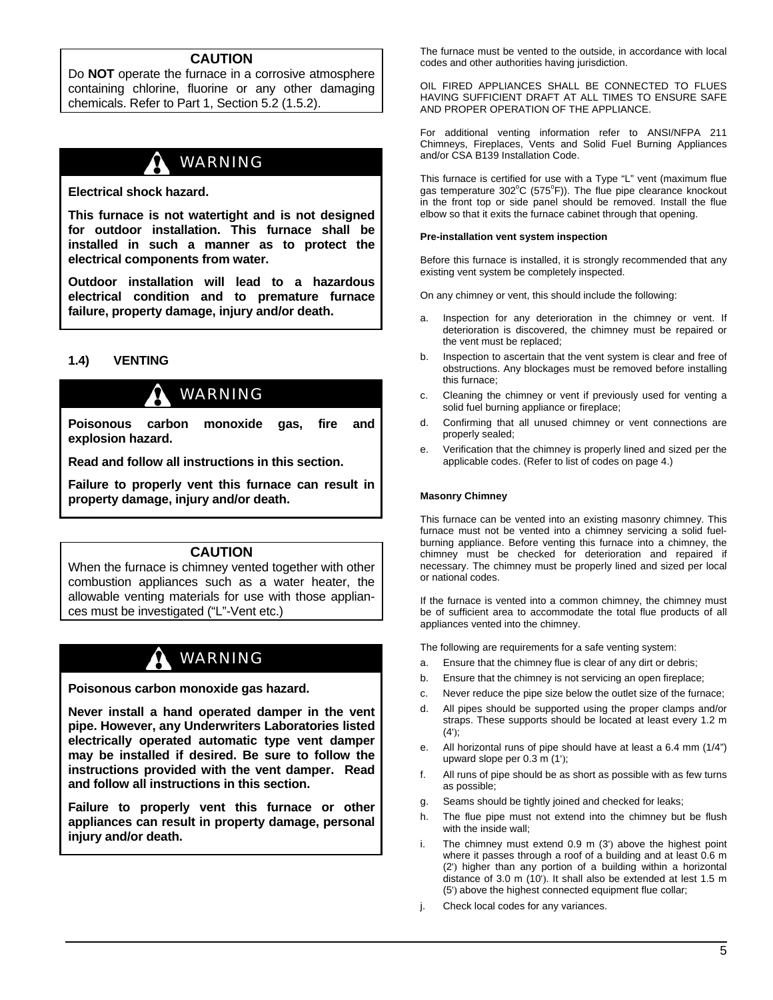#### **CAUTION**

Do **NOT** operate the furnace in a corrosive atmosphere containing chlorine, fluorine or any other damaging chemicals. Refer to Part 1, Section 5.2 (1.5.2).

## WARNING

**Electrical shock hazard.** 

**This furnace is not watertight and is not designed for outdoor installation. This furnace shall be installed in such a manner as to protect the electrical components from water.** 

**Outdoor installation will lead to a hazardous electrical condition and to premature furnace failure, property damage, injury and/or death.** 

#### **1.4) VENTING**

## WARNING

**Poisonous carbon monoxide gas, fire and explosion hazard.** 

**Read and follow all instructions in this section.** 

**Failure to properly vent this furnace can result in property damage, injury and/or death.** 

#### **CAUTION**

When the furnace is chimney vented together with other combustion appliances such as a water heater, the allowable venting materials for use with those appliances must be investigated ("L"-Vent etc.)

## WARNING

**Poisonous carbon monoxide gas hazard.** 

**Never install a hand operated damper in the vent pipe. However, any Underwriters Laboratories listed electrically operated automatic type vent damper may be installed if desired. Be sure to follow the instructions provided with the vent damper. Read and follow all instructions in this section.** 

**Failure to properly vent this furnace or other appliances can result in property damage, personal injury and/or death.** 

The furnace must be vented to the outside, in accordance with local codes and other authorities having jurisdiction.

OIL FIRED APPLIANCES SHALL BE CONNECTED TO FLUES HAVING SUFFICIENT DRAFT AT ALL TIMES TO ENSURE SAFE AND PROPER OPERATION OF THE APPLIANCE.

For additional venting information refer to ANSI/NFPA 211 Chimneys, Fireplaces, Vents and Solid Fuel Burning Appliances and/or CSA B139 Installation Code.

This furnace is certified for use with a Type "L" vent (maximum flue gas temperature 302°C (575°F)). The flue pipe clearance knockout in the front top or side panel should be removed. Install the flue elbow so that it exits the furnace cabinet through that opening.

#### **Pre-installation vent system inspection**

Before this furnace is installed, it is strongly recommended that any existing vent system be completely inspected.

On any chimney or vent, this should include the following:

- a. Inspection for any deterioration in the chimney or vent. If deterioration is discovered, the chimney must be repaired or the vent must be replaced;
- b. Inspection to ascertain that the vent system is clear and free of obstructions. Any blockages must be removed before installing this furnace;
- c. Cleaning the chimney or vent if previously used for venting a solid fuel burning appliance or fireplace;
- d. Confirming that all unused chimney or vent connections are properly sealed;
- e. Verification that the chimney is properly lined and sized per the applicable codes. (Refer to list of codes on page 4.)

#### **Masonry Chimney**

This furnace can be vented into an existing masonry chimney. This furnace must not be vented into a chimney servicing a solid fuelburning appliance. Before venting this furnace into a chimney, the chimney must be checked for deterioration and repaired if necessary. The chimney must be properly lined and sized per local or national codes.

If the furnace is vented into a common chimney, the chimney must be of sufficient area to accommodate the total flue products of all appliances vented into the chimney.

The following are requirements for a safe venting system:

- a. Ensure that the chimney flue is clear of any dirt or debris;
- b. Ensure that the chimney is not servicing an open fireplace;
- c. Never reduce the pipe size below the outlet size of the furnace;
- d. All pipes should be supported using the proper clamps and/or straps. These supports should be located at least every 1.2 m  $(4')$ ;
- e. All horizontal runs of pipe should have at least a 6.4 mm (1/4") upward slope per 0.3 m (1');
- f. All runs of pipe should be as short as possible with as few turns as possible;
- g. Seams should be tightly joined and checked for leaks;
- h. The flue pipe must not extend into the chimney but be flush with the inside wall;
- i. The chimney must extend 0.9 m (3') above the highest point where it passes through a roof of a building and at least 0.6 m (2') higher than any portion of a building within a horizontal distance of 3.0 m (10'). It shall also be extended at lest 1.5 m (5') above the highest connected equipment flue collar;
- j. Check local codes for any variances.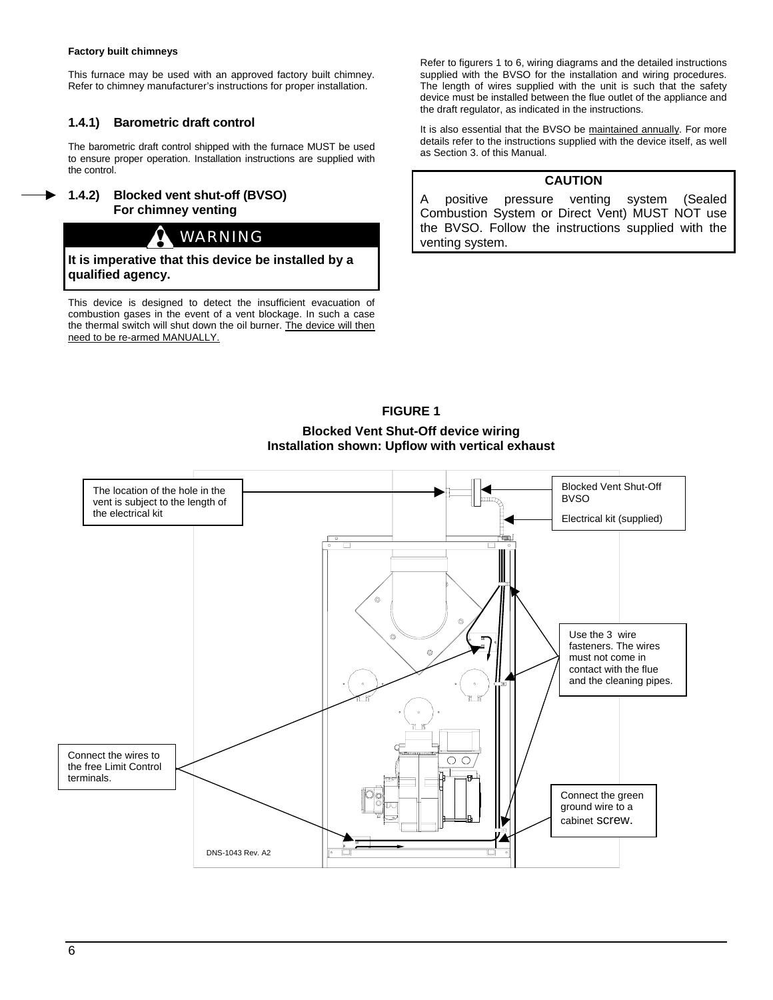#### **Factory built chimneys**

This furnace may be used with an approved factory built chimney. Refer to chimney manufacturer's instructions for proper installation.

#### **1.4.1) Barometric draft control**

The barometric draft control shipped with the furnace MUST be used to ensure proper operation. Installation instructions are supplied with the control.

#### **1.4.2) Blocked vent shut-off (BVSO) For chimney venting**

## WARNING

**It is imperative that this device be installed by a qualified agency.** 

This device is designed to detect the insufficient evacuation of combustion gases in the event of a vent blockage. In such a case the thermal switch will shut down the oil burner. The device will then need to be re-armed MANUALLY.

Refer to figurers 1 to 6, wiring diagrams and the detailed instructions supplied with the BVSO for the installation and wiring procedures. The length of wires supplied with the unit is such that the safety device must be installed between the flue outlet of the appliance and the draft regulator, as indicated in the instructions.

It is also essential that the BVSO be maintained annually. For more details refer to the instructions supplied with the device itself, as well as Section 3. of this Manual.

#### **CAUTION**

A positive pressure venting system (Sealed Combustion System or Direct Vent) MUST NOT use the BVSO. Follow the instructions supplied with the venting system.

#### **FIGURE 1**

**Blocked Vent Shut-Off device wiring Installation shown: Upflow with vertical exhaust** 

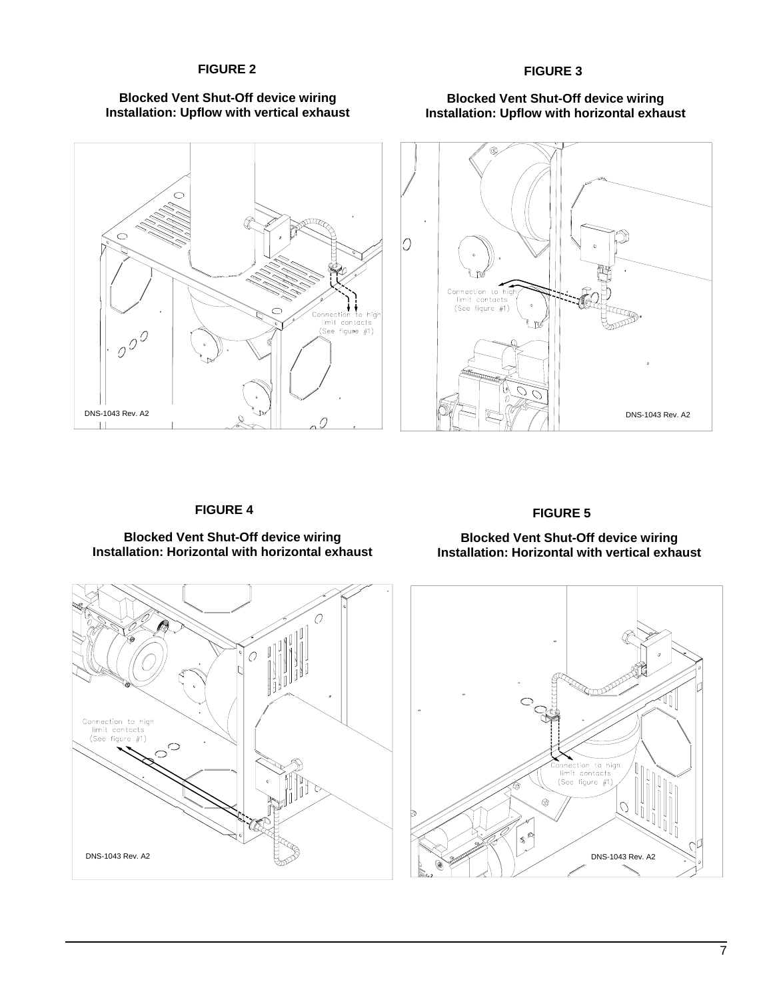#### FIGURE 2 **FIGURE 3**









#### **FIGURE 4**

#### **Blocked Vent Shut-Off device wiring Installation: Horizontal with horizontal exhaust**

#### **FIGURE 5**

#### **Blocked Vent Shut-Off device wiring Installation: Horizontal with vertical exhaust**



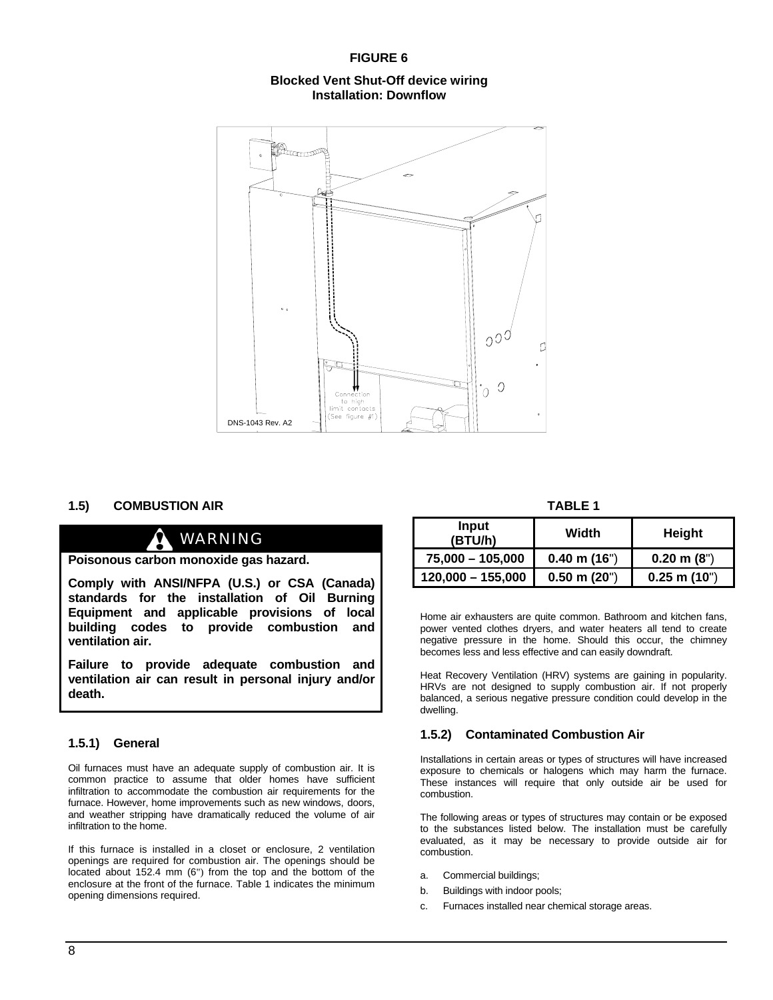#### **FIGURE 6**

#### **Blocked Vent Shut-Off device wiring Installation: Downflow**



#### **1.5) COMBUSTION AIR**

## WARNING

**Poisonous carbon monoxide gas hazard.** 

**Comply with ANSI/NFPA (U.S.) or CSA (Canada) standards for the installation of Oil Burning Equipment and applicable provisions of local building codes to provide combustion and ventilation air.** 

**Failure to provide adequate combustion and ventilation air can result in personal injury and/or death.** 

#### **1.5.1) General**

Oil furnaces must have an adequate supply of combustion air. It is common practice to assume that older homes have sufficient infiltration to accommodate the combustion air requirements for the furnace. However, home improvements such as new windows, doors, and weather stripping have dramatically reduced the volume of air infiltration to the home.

If this furnace is installed in a closet or enclosure, 2 ventilation openings are required for combustion air. The openings should be located about 152.4 mm (6") from the top and the bottom of the enclosure at the front of the furnace. Table 1 indicates the minimum opening dimensions required.

**TABLE 1** 

| Input<br>(BTU/h)    | Width            | Height               |
|---------------------|------------------|----------------------|
| 75,000 - 105,000    | $0.40$ m $(16")$ | $0.20 \text{ m} (8)$ |
| $120,000 - 155,000$ | $0.50$ m $(20")$ | $0.25$ m $(10")$     |

Home air exhausters are quite common. Bathroom and kitchen fans, power vented clothes dryers, and water heaters all tend to create negative pressure in the home. Should this occur, the chimney becomes less and less effective and can easily downdraft.

Heat Recovery Ventilation (HRV) systems are gaining in popularity. HRVs are not designed to supply combustion air. If not properly balanced, a serious negative pressure condition could develop in the dwelling.

#### **1.5.2) Contaminated Combustion Air**

Installations in certain areas or types of structures will have increased exposure to chemicals or halogens which may harm the furnace. These instances will require that only outside air be used for combustion.

The following areas or types of structures may contain or be exposed to the substances listed below. The installation must be carefully evaluated, as it may be necessary to provide outside air for combustion.

- a. Commercial buildings;
- b. Buildings with indoor pools;
- c. Furnaces installed near chemical storage areas.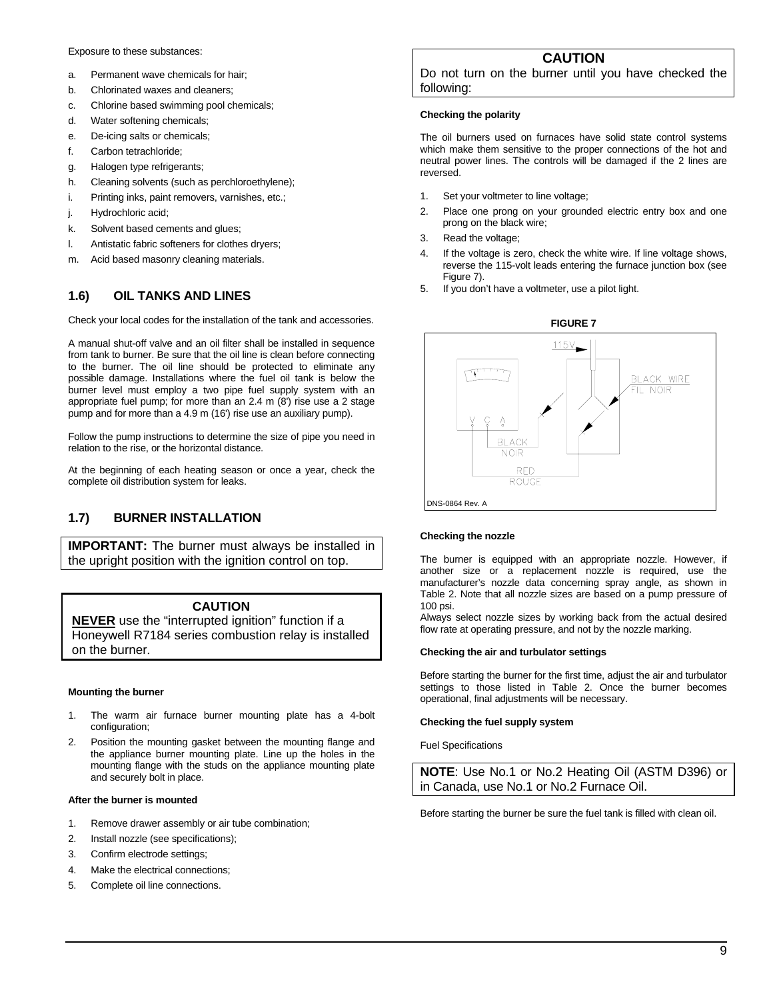#### Exposure to these substances:

- a. Permanent wave chemicals for hair;
- b. Chlorinated waxes and cleaners;
- c. Chlorine based swimming pool chemicals;
- d. Water softening chemicals;
- e. De-icing salts or chemicals;
- f. Carbon tetrachloride;
- g. Halogen type refrigerants;
- h. Cleaning solvents (such as perchloroethylene);
- i. Printing inks, paint removers, varnishes, etc.;
- j. Hydrochloric acid;
- k. Solvent based cements and glues;
- l. Antistatic fabric softeners for clothes dryers;
- m. Acid based masonry cleaning materials.

#### **1.6) OIL TANKS AND LINES**

Check your local codes for the installation of the tank and accessories.

A manual shut-off valve and an oil filter shall be installed in sequence from tank to burner. Be sure that the oil line is clean before connecting to the burner. The oil line should be protected to eliminate any possible damage. Installations where the fuel oil tank is below the burner level must employ a two pipe fuel supply system with an appropriate fuel pump; for more than an 2.4 m (8') rise use a 2 stage pump and for more than a 4.9 m (16') rise use an auxiliary pump).

Follow the pump instructions to determine the size of pipe you need in relation to the rise, or the horizontal distance.

At the beginning of each heating season or once a year, check the complete oil distribution system for leaks.

#### **1.7) BURNER INSTALLATION**

**IMPORTANT:** The burner must always be installed in the upright position with the ignition control on top.

#### **CAUTION**

**NEVER** use the "interrupted ignition" function if a Honeywell R7184 series combustion relay is installed on the burner.

#### **Mounting the burner**

- 1. The warm air furnace burner mounting plate has a 4-bolt configuration;
- 2. Position the mounting gasket between the mounting flange and the appliance burner mounting plate. Line up the holes in the mounting flange with the studs on the appliance mounting plate and securely bolt in place.

#### **After the burner is mounted**

- 1. Remove drawer assembly or air tube combination;
- 2. Install nozzle (see specifications);
- 3. Confirm electrode settings;
- 4. Make the electrical connections;
- 5. Complete oil line connections.

#### **CAUTION**

Do not turn on the burner until you have checked the following:

#### **Checking the polarity**

The oil burners used on furnaces have solid state control systems which make them sensitive to the proper connections of the hot and neutral power lines. The controls will be damaged if the 2 lines are reversed.

- 1. Set your voltmeter to line voltage;
- 2. Place one prong on your grounded electric entry box and one prong on the black wire;
- 3. Read the voltage;
- 4. If the voltage is zero, check the white wire. If line voltage shows, reverse the 115-volt leads entering the furnace junction box (see Figure 7).
- 5. If you don't have a voltmeter, use a pilot light.



#### **Checking the nozzle**

The burner is equipped with an appropriate nozzle. However, if another size or a replacement nozzle is required, use the manufacturer's nozzle data concerning spray angle, as shown in Table 2. Note that all nozzle sizes are based on a pump pressure of 100 psi.

Always select nozzle sizes by working back from the actual desired flow rate at operating pressure, and not by the nozzle marking.

#### **Checking the air and turbulator settings**

Before starting the burner for the first time, adjust the air and turbulator settings to those listed in Table 2. Once the burner becomes operational, final adjustments will be necessary.

#### **Checking the fuel supply system**

Fuel Specifications

**NOTE**: Use No.1 or No.2 Heating Oil (ASTM D396) or in Canada, use No.1 or No.2 Furnace Oil.

Before starting the burner be sure the fuel tank is filled with clean oil.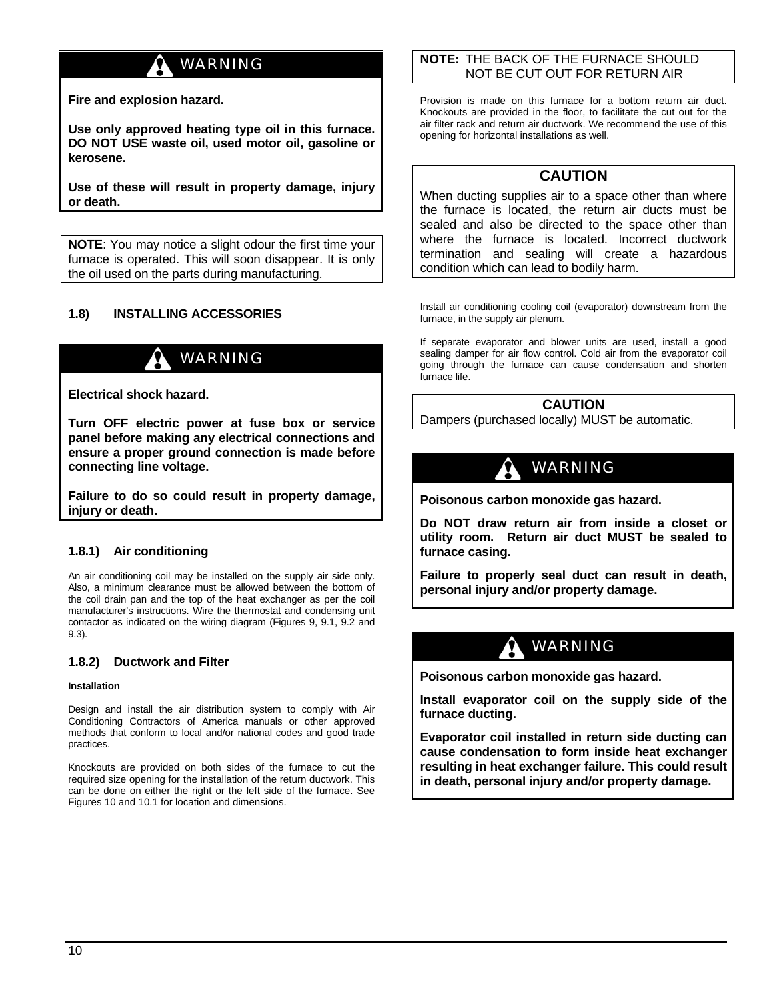## WARNING

**Fire and explosion hazard.** 

**Use only approved heating type oil in this furnace. DO NOT USE waste oil, used motor oil, gasoline or kerosene.** 

**Use of these will result in property damage, injury or death.**

**NOTE**: You may notice a slight odour the first time your furnace is operated. This will soon disappear. It is only the oil used on the parts during manufacturing.

#### **1.8) INSTALLING ACCESSORIES**

## WARNING

**Electrical shock hazard.** 

**Turn OFF electric power at fuse box or service panel before making any electrical connections and ensure a proper ground connection is made before connecting line voltage.** 

**Failure to do so could result in property damage, injury or death.** 

#### **1.8.1) Air conditioning**

An air conditioning coil may be installed on the supply air side only. Also, a minimum clearance must be allowed between the bottom of the coil drain pan and the top of the heat exchanger as per the coil manufacturer's instructions. Wire the thermostat and condensing unit contactor as indicated on the wiring diagram (Figures 9, 9.1, 9.2 and 9.3)*.* 

#### **1.8.2) Ductwork and Filter**

#### **Installation**

Design and install the air distribution system to comply with Air Conditioning Contractors of America manuals or other approved methods that conform to local and/or national codes and good trade practices.

Knockouts are provided on both sides of the furnace to cut the required size opening for the installation of the return ductwork. This can be done on either the right or the left side of the furnace. See Figures 10 and 10.1 for location and dimensions.

#### **NOTE:** THE BACK OF THE FURNACE SHOULD NOT BE CUT OUT FOR RETURN AIR

Provision is made on this furnace for a bottom return air duct. Knockouts are provided in the floor, to facilitate the cut out for the air filter rack and return air ductwork. We recommend the use of this opening for horizontal installations as well.

#### **CAUTION**

When ducting supplies air to a space other than where the furnace is located, the return air ducts must be sealed and also be directed to the space other than where the furnace is located. Incorrect ductwork termination and sealing will create a hazardous condition which can lead to bodily harm.

Install air conditioning cooling coil (evaporator) downstream from the furnace, in the supply air plenum.

If separate evaporator and blower units are used, install a good sealing damper for air flow control. Cold air from the evaporator coil going through the furnace can cause condensation and shorten furnace life.

#### **CAUTION**

Dampers (purchased locally) MUST be automatic.

## WARNING

**Poisonous carbon monoxide gas hazard.** 

**Do NOT draw return air from inside a closet or utility room. Return air duct MUST be sealed to furnace casing.** 

**Failure to properly seal duct can result in death, personal injury and/or property damage.** 

## WARNING

**Poisonous carbon monoxide gas hazard.** 

**Install evaporator coil on the supply side of the furnace ducting.** 

**Evaporator coil installed in return side ducting can cause condensation to form inside heat exchanger resulting in heat exchanger failure. This could result in death, personal injury and/or property damage.**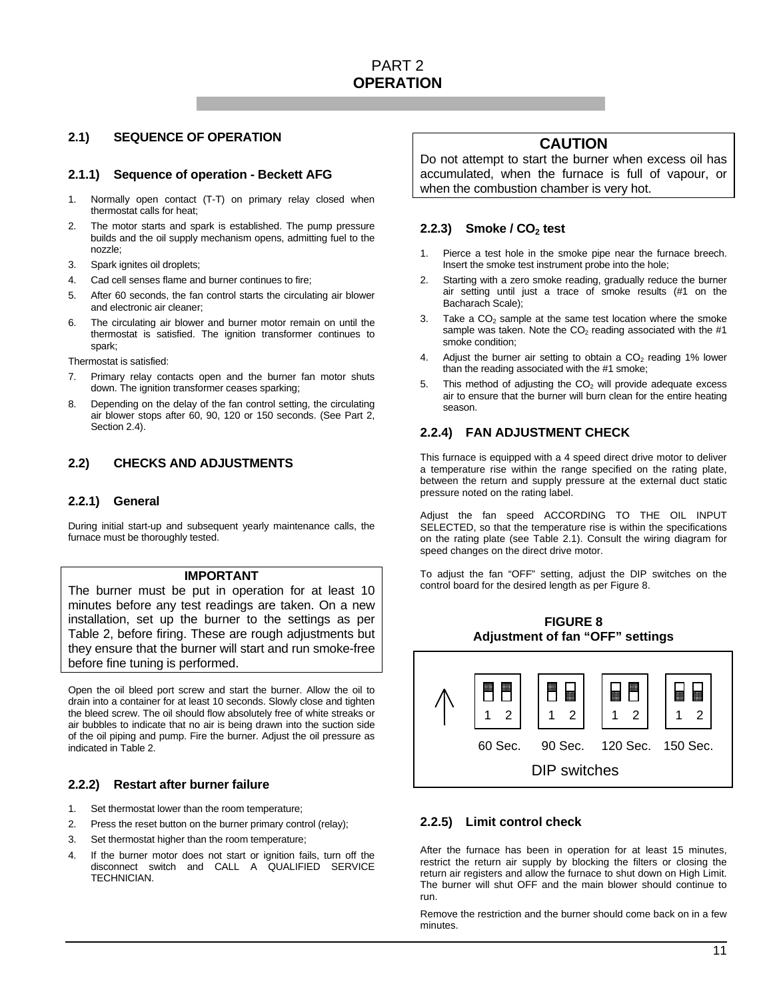#### **2.1) SEQUENCE OF OPERATION**

#### **2.1.1) Sequence of operation - Beckett AFG**

- 1. Normally open contact (T-T) on primary relay closed when thermostat calls for heat;
- 2. The motor starts and spark is established. The pump pressure builds and the oil supply mechanism opens, admitting fuel to the nozzle;
- 3. Spark ignites oil droplets;
- 4. Cad cell senses flame and burner continues to fire;
- 5. After 60 seconds, the fan control starts the circulating air blower and electronic air cleaner;
- 6. The circulating air blower and burner motor remain on until the thermostat is satisfied. The ignition transformer continues to spark;

Thermostat is satisfied:

- 7. Primary relay contacts open and the burner fan motor shuts down. The ignition transformer ceases sparking;
- 8. Depending on the delay of the fan control setting, the circulating air blower stops after 60, 90, 120 or 150 seconds. (See Part 2, Section 2.4).

#### **2.2) CHECKS AND ADJUSTMENTS**

#### **2.2.1) General**

During initial start-up and subsequent yearly maintenance calls, the furnace must be thoroughly tested.

#### **IMPORTANT**

The burner must be put in operation for at least 10 minutes before any test readings are taken. On a new installation, set up the burner to the settings as per Table 2, before firing. These are rough adjustments but they ensure that the burner will start and run smoke-free before fine tuning is performed.

Open the oil bleed port screw and start the burner. Allow the oil to drain into a container for at least 10 seconds. Slowly close and tighten the bleed screw. The oil should flow absolutely free of white streaks or air bubbles to indicate that no air is being drawn into the suction side of the oil piping and pump. Fire the burner. Adjust the oil pressure as indicated in Table 2.

#### **2.2.2) Restart after burner failure**

- 1. Set thermostat lower than the room temperature;
- 2. Press the reset button on the burner primary control (relay);
- 3. Set thermostat higher than the room temperature;
- 4. If the burner motor does not start or ignition fails, turn off the disconnect switch and CALL A QUALIFIED SERVICE TECHNICIAN.

#### **CAUTION**

Do not attempt to start the burner when excess oil has accumulated, when the furnace is full of vapour, or when the combustion chamber is very hot.

#### **2.2.3)** Smoke / CO<sub>2</sub> test

- 1. Pierce a test hole in the smoke pipe near the furnace breech. Insert the smoke test instrument probe into the hole;
- 2. Starting with a zero smoke reading, gradually reduce the burner air setting until just a trace of smoke results (#1 on the Bacharach Scale);
- 3. Take a  $CO<sub>2</sub>$  sample at the same test location where the smoke sample was taken. Note the  $CO<sub>2</sub>$  reading associated with the #1 smoke condition;
- 4. Adjust the burner air setting to obtain a  $CO<sub>2</sub>$  reading 1% lower than the reading associated with the #1 smoke;
- 5. This method of adjusting the  $CO<sub>2</sub>$  will provide adequate excess air to ensure that the burner will burn clean for the entire heating season.

#### **2.2.4) FAN ADJUSTMENT CHECK**

This furnace is equipped with a 4 speed direct drive motor to deliver a temperature rise within the range specified on the rating plate, between the return and supply pressure at the external duct static pressure noted on the rating label.

Adjust the fan speed ACCORDING TO THE OIL INPUT SELECTED, so that the temperature rise is within the specifications on the rating plate (see Table 2.1). Consult the wiring diagram for speed changes on the direct drive motor.

To adjust the fan "OFF" setting, adjust the DIP switches on the control board for the desired length as per Figure 8.





#### **2.2.5) Limit control check**

After the furnace has been in operation for at least 15 minutes, restrict the return air supply by blocking the filters or closing the return air registers and allow the furnace to shut down on High Limit. The burner will shut OFF and the main blower should continue to run.

Remove the restriction and the burner should come back on in a few minutes.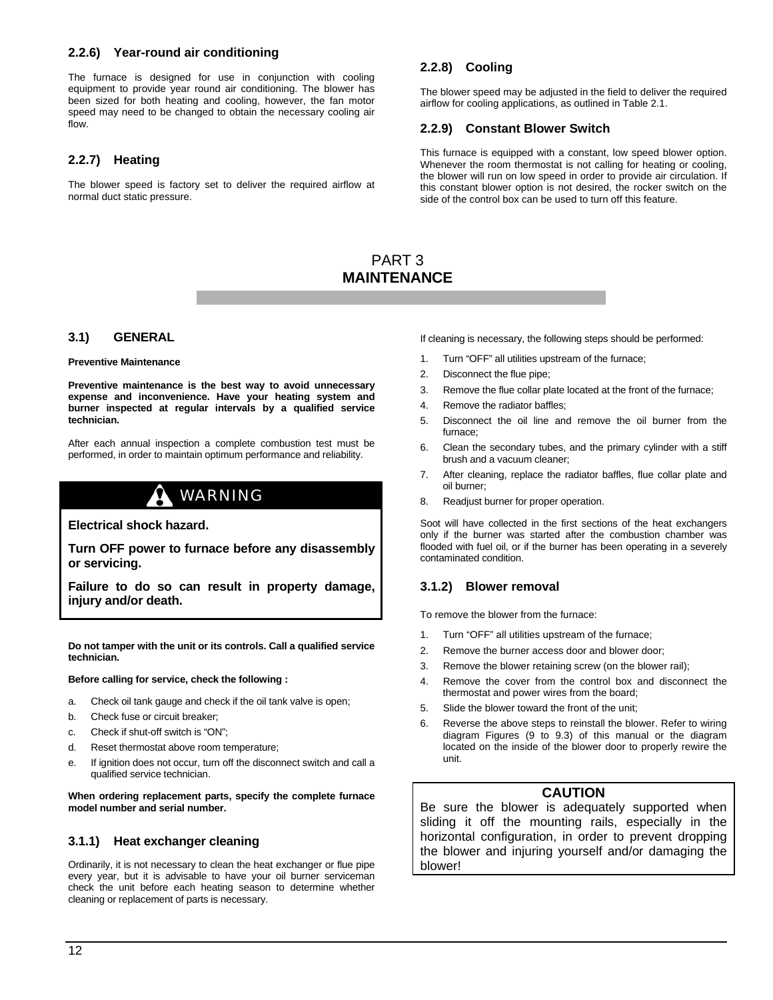#### **2.2.6) Year-round air conditioning**

The furnace is designed for use in conjunction with cooling equipment to provide year round air conditioning. The blower has been sized for both heating and cooling, however, the fan motor speed may need to be changed to obtain the necessary cooling air flow.

#### **2.2.7) Heating**

The blower speed is factory set to deliver the required airflow at normal duct static pressure.

#### **2.2.8) Cooling**

The blower speed may be adjusted in the field to deliver the required airflow for cooling applications, as outlined in Table 2.1.

#### **2.2.9) Constant Blower Switch**

This furnace is equipped with a constant, low speed blower option. Whenever the room thermostat is not calling for heating or cooling, the blower will run on low speed in order to provide air circulation. If this constant blower option is not desired, the rocker switch on the side of the control box can be used to turn off this feature.

#### PART 3 **MAINTENANCE**

#### **3.1) GENERAL**

#### **Preventive Maintenance**

**Preventive maintenance is the best way to avoid unnecessary expense and inconvenience. Have your heating system and burner inspected at regular intervals by a qualified service technician.** 

After each annual inspection a complete combustion test must be performed, in order to maintain optimum performance and reliability.

## WARNING

#### **Electrical shock hazard.**

**Turn OFF power to furnace before any disassembly or servicing.** 

**Failure to do so can result in property damage, injury and/or death.** 

**Do not tamper with the unit or its controls. Call a qualified service technician.** 

#### **Before calling for service, check the following :**

- a. Check oil tank gauge and check if the oil tank valve is open;
- b. Check fuse or circuit breaker;
- c. Check if shut-off switch is "ON";
- d. Reset thermostat above room temperature;
- e. If ignition does not occur, turn off the disconnect switch and call a qualified service technician.

**When ordering replacement parts, specify the complete furnace model number and serial number.** 

#### **3.1.1) Heat exchanger cleaning**

Ordinarily, it is not necessary to clean the heat exchanger or flue pipe every year, but it is advisable to have your oil burner serviceman check the unit before each heating season to determine whether cleaning or replacement of parts is necessary.

If cleaning is necessary, the following steps should be performed:

- 1. Turn "OFF" all utilities upstream of the furnace;
- 2. Disconnect the flue pipe;
- 3. Remove the flue collar plate located at the front of the furnace;
- 4. Remove the radiator baffles;
- 5. Disconnect the oil line and remove the oil burner from the furnace;
- 6. Clean the secondary tubes, and the primary cylinder with a stiff brush and a vacuum cleaner;
- 7. After cleaning, replace the radiator baffles, flue collar plate and oil burner;
- 8. Readjust burner for proper operation.

Soot will have collected in the first sections of the heat exchangers only if the burner was started after the combustion chamber was flooded with fuel oil, or if the burner has been operating in a severely contaminated condition.

#### **3.1.2) Blower removal**

To remove the blower from the furnace:

- 1. Turn "OFF" all utilities upstream of the furnace;
- 2. Remove the burner access door and blower door;
- 3. Remove the blower retaining screw (on the blower rail);
- 4. Remove the cover from the control box and disconnect the thermostat and power wires from the board;
- 5. Slide the blower toward the front of the unit;
- 6. Reverse the above steps to reinstall the blower. Refer to wiring diagram Figures (9 to 9.3) of this manual or the diagram located on the inside of the blower door to properly rewire the unit.

#### **CAUTION**

Be sure the blower is adequately supported when sliding it off the mounting rails, especially in the horizontal configuration, in order to prevent dropping the blower and injuring yourself and/or damaging the blower!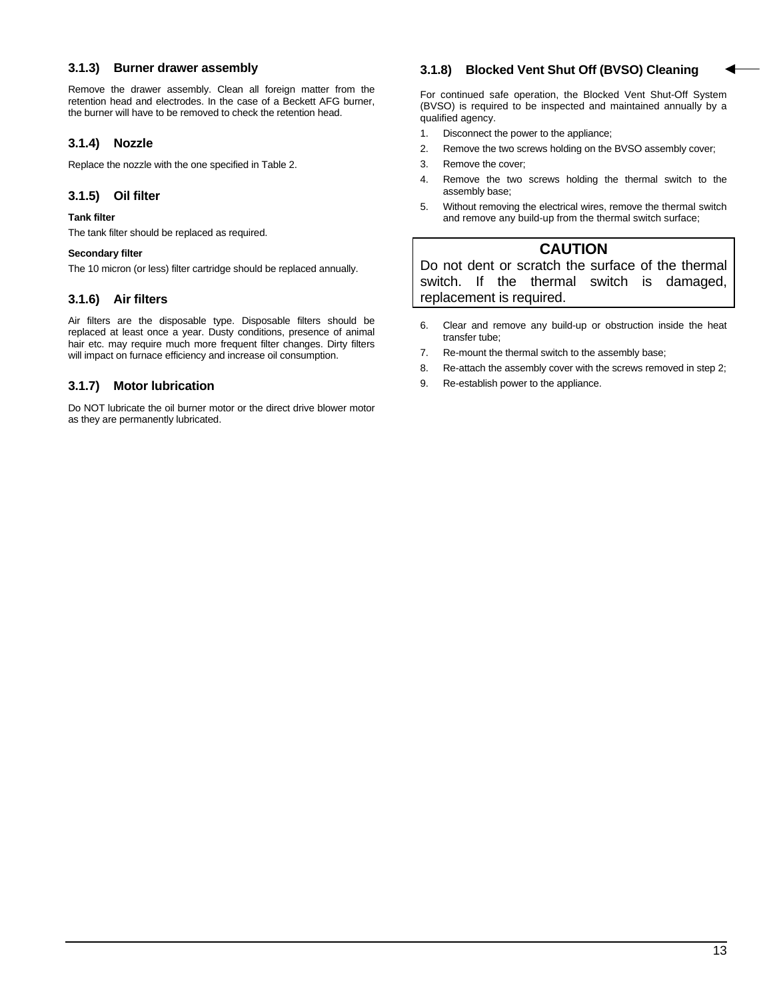#### **3.1.3) Burner drawer assembly**

Remove the drawer assembly. Clean all foreign matter from the retention head and electrodes. In the case of a Beckett AFG burner, the burner will have to be removed to check the retention head.

#### **3.1.4) Nozzle**

Replace the nozzle with the one specified in Table 2.

#### **3.1.5) Oil filter**

#### **Tank filter**

The tank filter should be replaced as required.

#### **Secondary filter**

The 10 micron (or less) filter cartridge should be replaced annually.

#### **3.1.6) Air filters**

Air filters are the disposable type. Disposable filters should be replaced at least once a year. Dusty conditions, presence of animal hair etc. may require much more frequent filter changes. Dirty filters will impact on furnace efficiency and increase oil consumption.

#### **3.1.7) Motor lubrication**

Do NOT lubricate the oil burner motor or the direct drive blower motor as they are permanently lubricated.

#### **3.1.8) Blocked Vent Shut Off (BVSO) Cleaning**

For continued safe operation, the Blocked Vent Shut-Off System (BVSO) is required to be inspected and maintained annually by a qualified agency.

- 1. Disconnect the power to the appliance;
- 2. Remove the two screws holding on the BVSO assembly cover;
- 3. Remove the cover;
- 4. Remove the two screws holding the thermal switch to the assembly base;
- 5. Without removing the electrical wires, remove the thermal switch and remove any build-up from the thermal switch surface;

## **CAUTION**

Do not dent or scratch the surface of the thermal switch. If the thermal switch is damaged, replacement is required.

- 6. Clear and remove any build-up or obstruction inside the heat transfer tube;
- 7. Re-mount the thermal switch to the assembly base;
- 8. Re-attach the assembly cover with the screws removed in step 2;
- 9. Re-establish power to the appliance.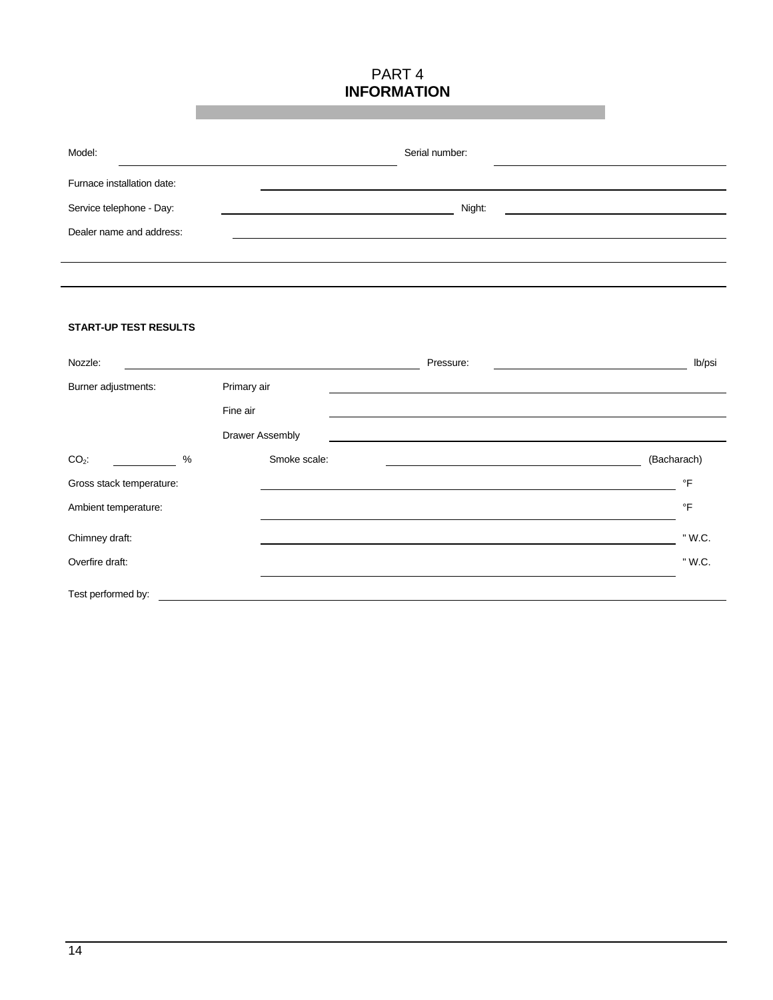### PART 4 **INFORMATION**

| Model:                     | Serial number: |  |
|----------------------------|----------------|--|
| Furnace installation date: |                |  |
| Service telephone - Day:   | Night:         |  |
| Dealer name and address:   |                |  |
|                            |                |  |

#### **START-UP TEST RESULTS**

| Nozzle:                  |                         |              | Pressure: | lb/psi      |
|--------------------------|-------------------------|--------------|-----------|-------------|
| Burner adjustments:      | Primary air<br>Fine air |              |           |             |
|                          | Drawer Assembly         |              |           |             |
| $CO2$ :<br>%             |                         | Smoke scale: |           | (Bacharach) |
| Gross stack temperature: |                         |              |           | °F          |
| Ambient temperature:     |                         |              |           | $\circ$ F   |
| Chimney draft:           |                         |              |           | " W.C.      |
| Overfire draft:          |                         |              |           | " W.C.      |
| Test performed by:       |                         |              |           |             |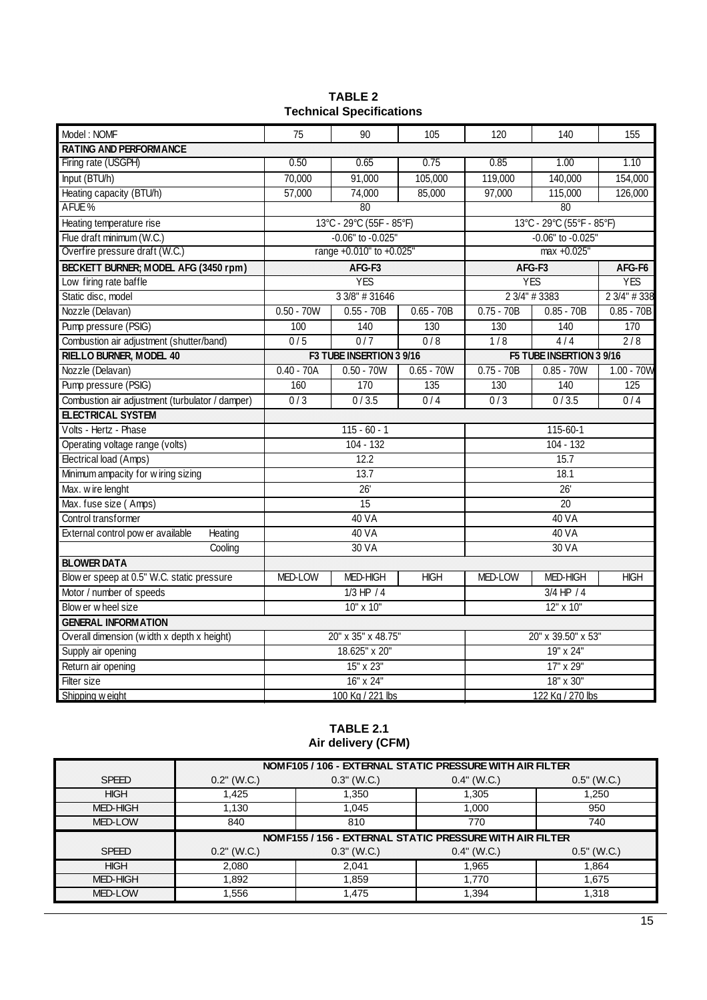| <b>TABLE 2</b>                  |  |  |
|---------------------------------|--|--|
| <b>Technical Specifications</b> |  |  |

| Model: NOMF                                     | 75               | 90                       | 105              | 120                | 140                       | 155          |
|-------------------------------------------------|------------------|--------------------------|------------------|--------------------|---------------------------|--------------|
| <b>RATING AND PERFORMANCE</b>                   |                  |                          |                  |                    |                           |              |
| Firing rate (USGPH)                             | 0.50             | 0.65                     | 0.75             | 0.85               | 1.00                      | 1.10         |
| Input (BTU/h)                                   | 70,000           | 91,000                   | 105,000          | 119,000            | 140,000                   | 154,000      |
| Heating capacity (BTU/h)                        | 57,000           | 74,000                   | 85,000           | 97,000             | 115,000                   | 126,000      |
| AFUE%                                           |                  | 80                       |                  |                    | 80                        |              |
| Heating temperature rise                        |                  | 13°C - 29°C (55F - 85°F) |                  |                    | 13°C - 29°C (55°F - 85°F) |              |
| Flue draft minimum (W.C.)                       |                  | -0.06" to -0.025"        |                  |                    | -0.06" to -0.025"         |              |
| Overfire pressure draft (W.C.)                  |                  | range +0.010" to +0.025" |                  |                    | max +0.025"               |              |
| BECKETT BURNER; MODEL AFG (3450 rpm)            |                  | AFG-F3                   |                  |                    | AFG-F3                    | AFG-F6       |
| Low firing rate baffle                          |                  | <b>YES</b>               |                  |                    | <b>YES</b>                | <b>YES</b>   |
| Static disc, model                              |                  | 3 3/8" # 31646           |                  |                    | 2 3/4" # 3383             | 2 3/4" # 338 |
| Nozzle (Delavan)                                | $0.50 - 70W$     | $0.55 - 70B$             | $0.65 - 70B$     | $0.75 - 70B$       | $0.85 - 70B$              | $0.85 - 70B$ |
| Pump pressure (PSIG)                            | 100              | 140                      | 130              | 130                | 140                       | 170          |
| Combustion air adjustment (shutter/band)        | 0/5              | 0/7                      | 0/8              | 1/8                | 4/4                       | 2/8          |
| <b>RIELLO BURNER, MODEL 40</b>                  |                  | F3 TUBE INSERTION 3 9/16 |                  |                    | F5 TUBE INSERTION 3 9/16  |              |
| Nozzle (Delavan)                                | $0.40 - 70A$     | $0.50 - 70W$             | $0.65 - 70W$     | $0.75 - 70B$       | $0.85 - 70W$              | $1.00 - 70W$ |
| Pump pressure (PSIG)                            | 160              | 170                      | 135              | 130                | 140                       | 125          |
| Combustion air adjustment (turbulator / damper) | $\overline{0/3}$ | 0/3.5                    | 0/4              | $\overline{0/3}$   | 0/3.5                     | 0/4          |
| <b>ELECTRICAL SYSTEM</b>                        |                  |                          |                  |                    |                           |              |
| Volts - Hertz - Phase                           |                  | $115 - 60 - 1$           |                  |                    | 115-60-1                  |              |
| Operating voltage range (volts)                 |                  | $104 - 132$              |                  | $104 - 132$        |                           |              |
| Electrical load (Amps)                          |                  | 12.2                     |                  | 15.7               |                           |              |
| Minimum ampacity for wiring sizing              |                  | 13.7                     |                  | 18.1               |                           |              |
| Max. wire lenght                                |                  | 26'                      |                  | $\overline{26}$    |                           |              |
| Max. fuse size (Amps)                           |                  | 15                       |                  |                    | $\overline{20}$           |              |
| Control transformer                             |                  | 40 VA                    |                  |                    | 40 VA                     |              |
| External control pow er available<br>Heating    |                  | 40 VA                    |                  |                    | 40 VA                     |              |
| Cooling                                         |                  | 30 VA                    |                  |                    | 30 VA                     |              |
| <b>BLOWER DATA</b>                              |                  |                          |                  |                    |                           |              |
| Blow er speep at 0.5" W.C. static pressure      | <b>MED-LOW</b>   | <b>MED-HIGH</b>          | <b>HIGH</b>      | MED-LOW            | <b>MED-HIGH</b>           | <b>HIGH</b>  |
| Motor / number of speeds                        |                  | $1/3$ HP $/4$            |                  |                    | $3/4$ HP $/4$             |              |
| Blow er wheel size                              |                  | 10" x 10"                |                  | 12" x 10"          |                           |              |
| <b>GENERAL INFORMATION</b>                      |                  |                          |                  |                    |                           |              |
| Overall dimension (width x depth x height)      |                  | 20" x 35" x 48.75"       |                  | 20" x 39.50" x 53" |                           |              |
| Supply air opening                              |                  | 18.625" x 20"            |                  |                    | 19" x 24"                 |              |
| Return air opening                              |                  | 15" x 23"                |                  | 17" x 29"          |                           |              |
| Filter size                                     |                  | 16" x 24"                |                  |                    | 18" x 30"                 |              |
| Shipping w eight                                | 100 Kg / 221 lbs |                          | 122 Kg / 270 lbs |                    |                           |              |

#### **TABLE 2.1 Air delivery (CFM)**

|                 | NOM F105 / 106 - EXTERNAL STATIC PRESSURE WITH AIR FILTER |                                                          |               |               |  |
|-----------------|-----------------------------------------------------------|----------------------------------------------------------|---------------|---------------|--|
| <b>SPEED</b>    | $0.2"$ (W.C.)                                             | $0.3"$ (W.C.)                                            | $0.4"$ (W.C.) | $0.5"$ (W.C.) |  |
| <b>HIGH</b>     | 1.425                                                     | 1,350                                                    | 1.305         | 1,250         |  |
| <b>MED-HIGH</b> | 1.130                                                     | 1,045                                                    | 1.000         | 950           |  |
| MED-LOW         | 840                                                       | 810                                                      | 770           | 740           |  |
|                 |                                                           | NOMF155 / 156 - EXTERNAL STATIC PRESSURE WITH AIR FILTER |               |               |  |
| <b>SPEED</b>    | $0.2"$ (W.C.)                                             | $0.3"$ (W.C.)                                            | $0.4"$ (W.C.) | $0.5"$ (W.C.) |  |
| <b>HIGH</b>     | 2,080                                                     | 2.041                                                    | 1,965         | 1.864         |  |
| MED-HIGH        | 1.892                                                     | 1,859                                                    | 1.770         | 1,675         |  |
|                 |                                                           |                                                          |               |               |  |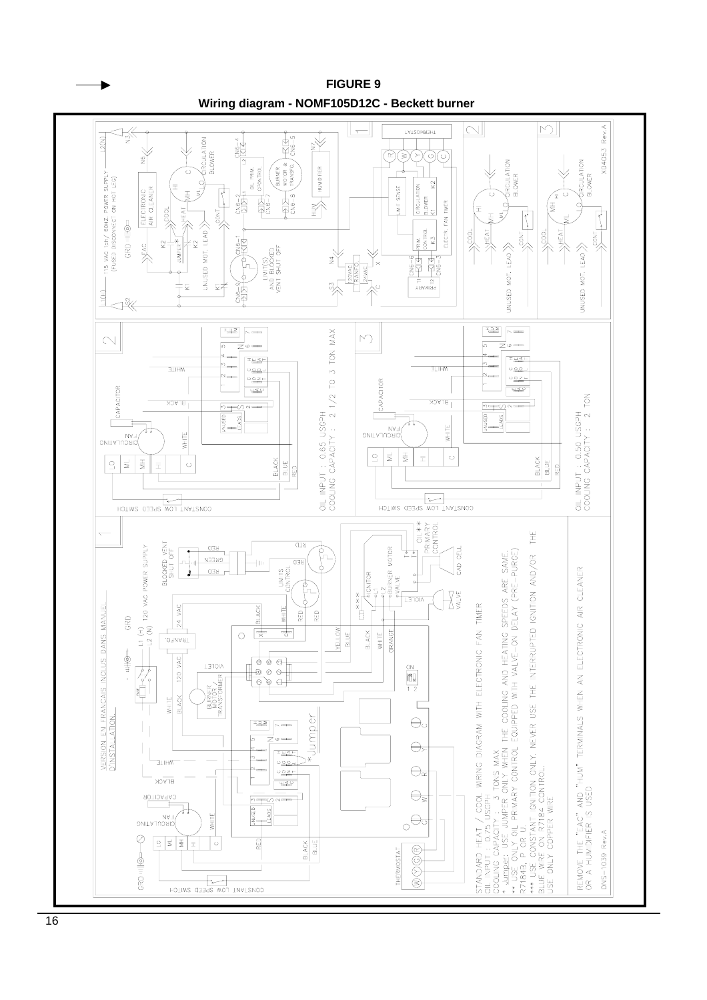

**FIGURE 9**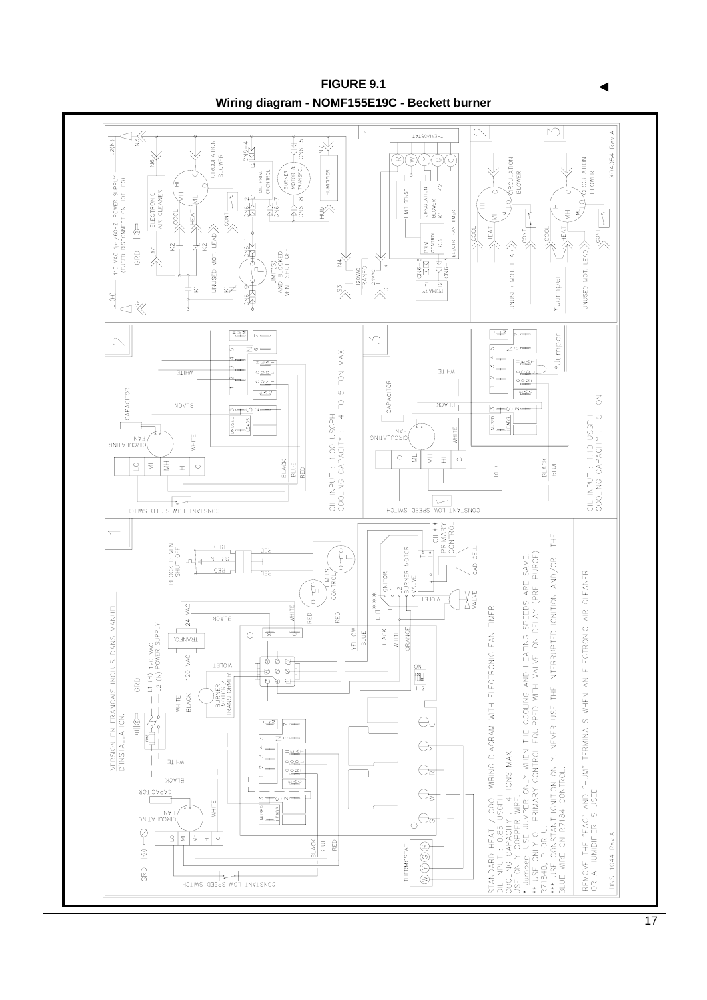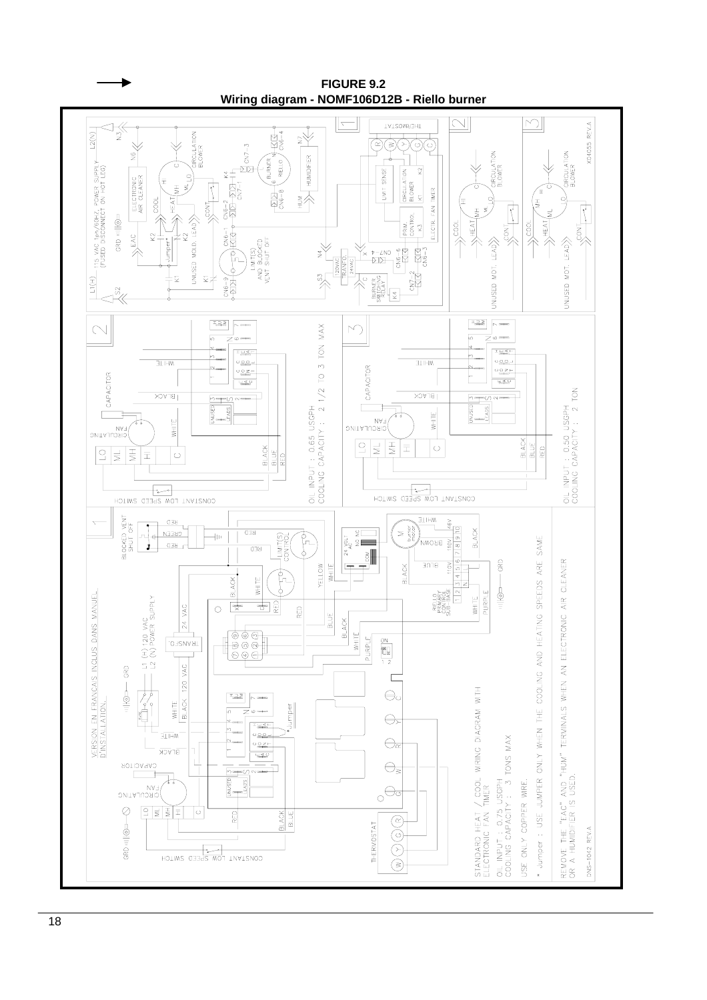

**FIGURE 9.2 Wiring diagram - NOMF106D12B - Riello burner**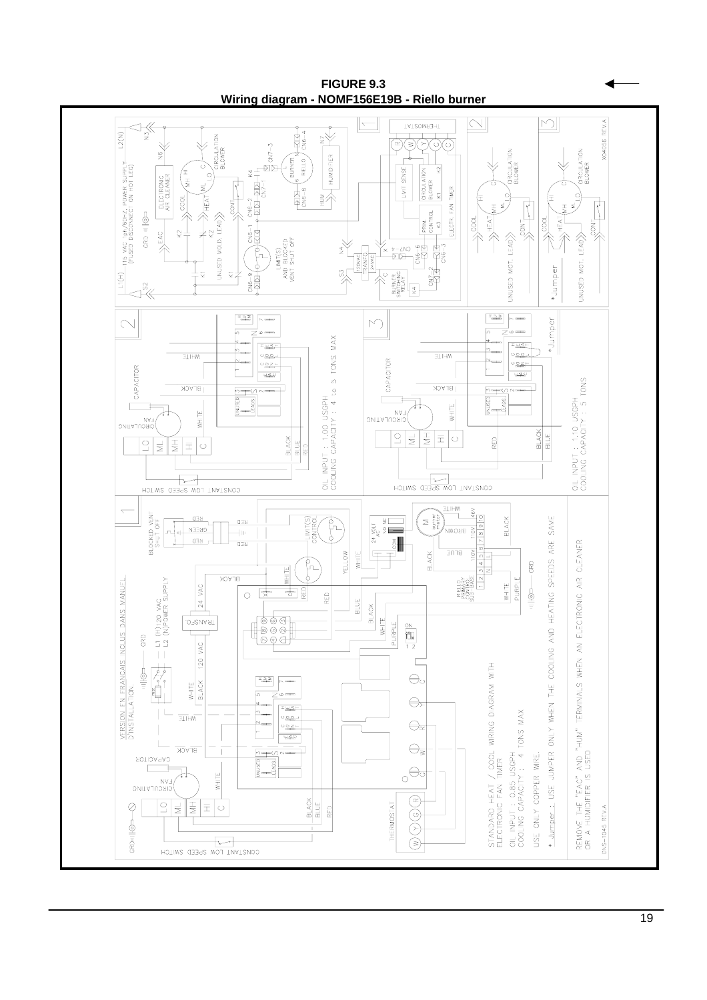

**FIGURE 9.3 Wiring diagram - NOMF156E19B - Riello burner**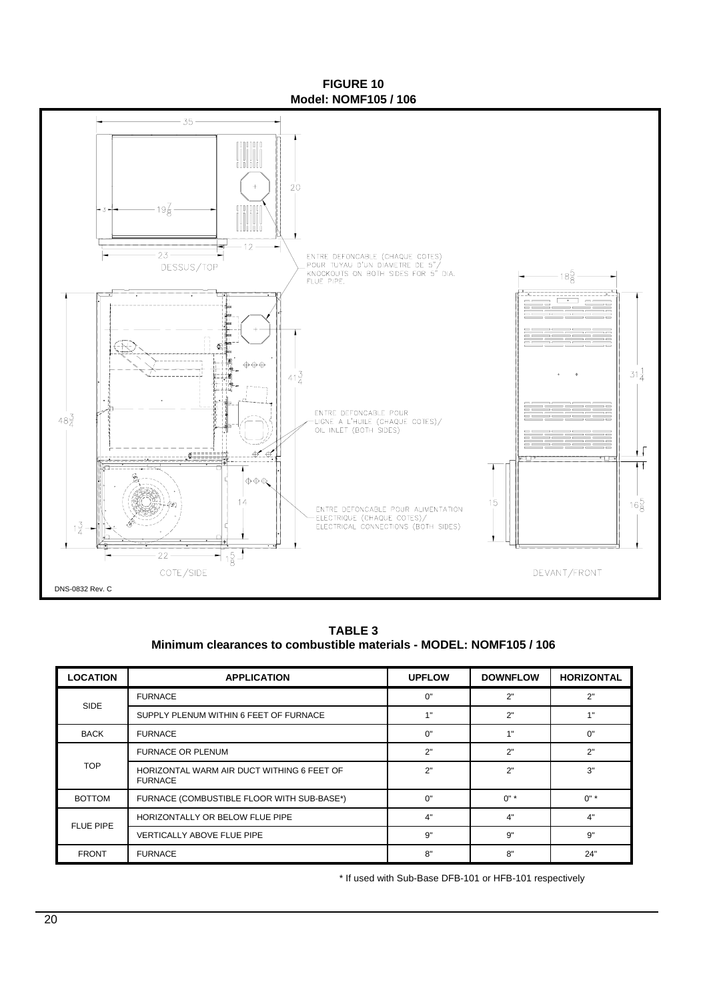**FIGURE 10 Model: NOMF105 / 106**



**Minimum clearances to combustible materials - MODEL: NOMF105 / 106 TABLE 3**

| <b>LOCATION</b>  | <b>APPLICATION</b>                                           | <b>UPFLOW</b> | <b>DOWNFLOW</b> | <b>HORIZONTAL</b> |
|------------------|--------------------------------------------------------------|---------------|-----------------|-------------------|
| SIDE             | <b>FURNACE</b>                                               | 0"            | 2"              | 2"                |
|                  | SUPPLY PLENUM WITHIN 6 FEET OF FURNACE                       | 1"            | 2"              | 1"                |
| <b>BACK</b>      | <b>FURNACE</b>                                               | 0"            | 4 !!            | 0"                |
|                  | <b>FURNACE OR PLENUM</b>                                     | 2"            | 2"              | 2"                |
| <b>TOP</b>       | HORIZONTAL WARM AIR DUCT WITHING 6 FEET OF<br><b>FURNACE</b> | 2"            | 2"              | 3"                |
| <b>BOTTOM</b>    | FURNACE (COMBUSTIBLE FLOOR WITH SUB-BASE*)                   | 0"            | $0"$ *          | $0"$ *            |
| <b>FLUE PIPE</b> | HORIZONTALLY OR BELOW FLUE PIPE                              | 4"            | 4"              | 4"                |
|                  | <b>VERTICALLY ABOVE FLUE PIPE</b>                            | 9"            | 9"              | 9"                |
| <b>FRONT</b>     | <b>FURNACE</b>                                               | 8"            | 8"              | 24"               |

\* If used with Sub-Base DFB-101 or HFB-101 respectively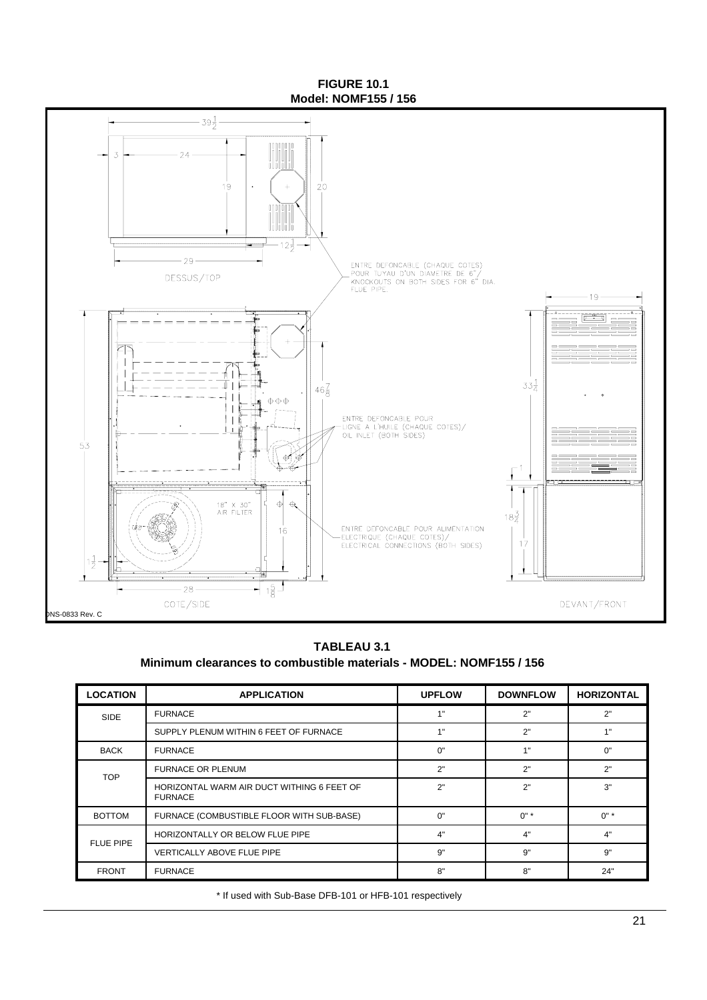**FIGURE 10.1 Model: NOMF155 / 156**



#### **TABLEAU 3.1 Minimum clearances to combustible materials - MODEL: NOMF155 / 156**

| <b>LOCATION</b>  | <b>APPLICATION</b>                                           | <b>UPFLOW</b> | <b>DOWNFLOW</b> | <b>HORIZONTAL</b> |
|------------------|--------------------------------------------------------------|---------------|-----------------|-------------------|
| <b>SIDE</b>      | <b>FURNACE</b>                                               | 1"            | 2"              | 2"                |
|                  | SUPPLY PLENUM WITHIN 6 FEET OF FURNACE                       | 1"            | 2"              | 1"                |
| <b>BACK</b>      | <b>FURNACE</b>                                               | 0"            | 1"              | 0"                |
| <b>TOP</b>       | <b>FURNACE OR PLENUM</b>                                     | 2"            | 2"              | 2"                |
|                  | HORIZONTAL WARM AIR DUCT WITHING 6 FEET OF<br><b>FURNACE</b> | 2"            | 2"              | 3"                |
| <b>BOTTOM</b>    | FURNACE (COMBUSTIBLE FLOOR WITH SUB-BASE)                    | 0"            | $0" *$          | $0"$ *            |
| <b>FLUE PIPE</b> | HORIZONTALLY OR BELOW FLUE PIPE                              | 4"            | 4"              | 4"                |
|                  | <b>VERTICALLY ABOVE FLUE PIPE</b>                            | 9"            | 9"              | 9"                |
| <b>FRONT</b>     | <b>FURNACE</b>                                               | 8"            | 8"              | 24"               |

\* If used with Sub-Base DFB-101 or HFB-101 respectively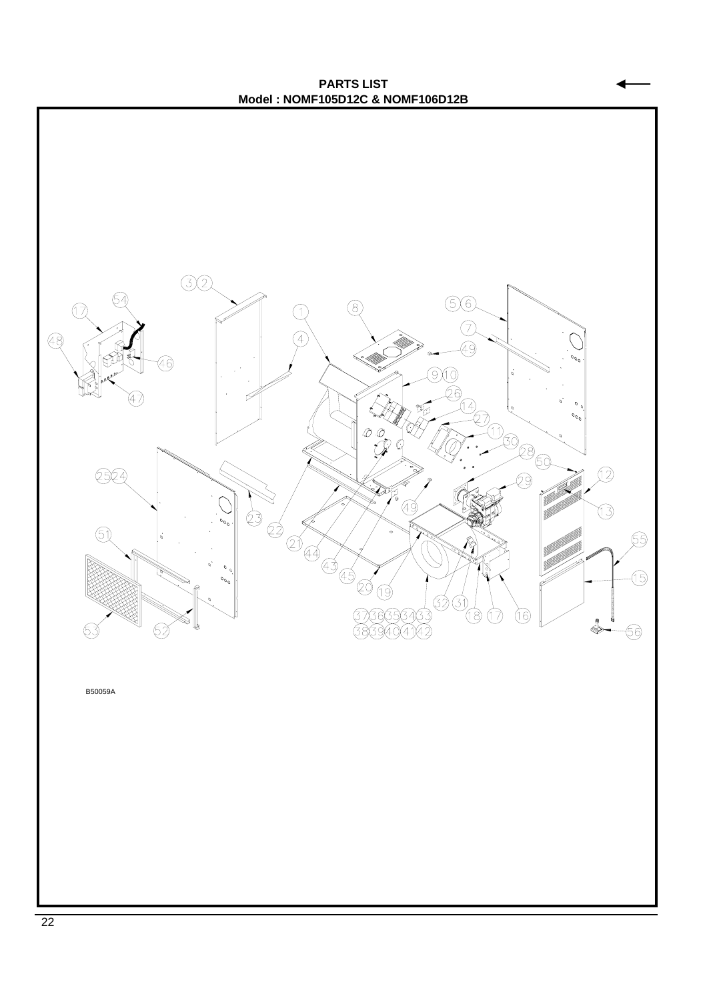**PARTS LIST Model : NOMF105D12C & NOMF106D12B**

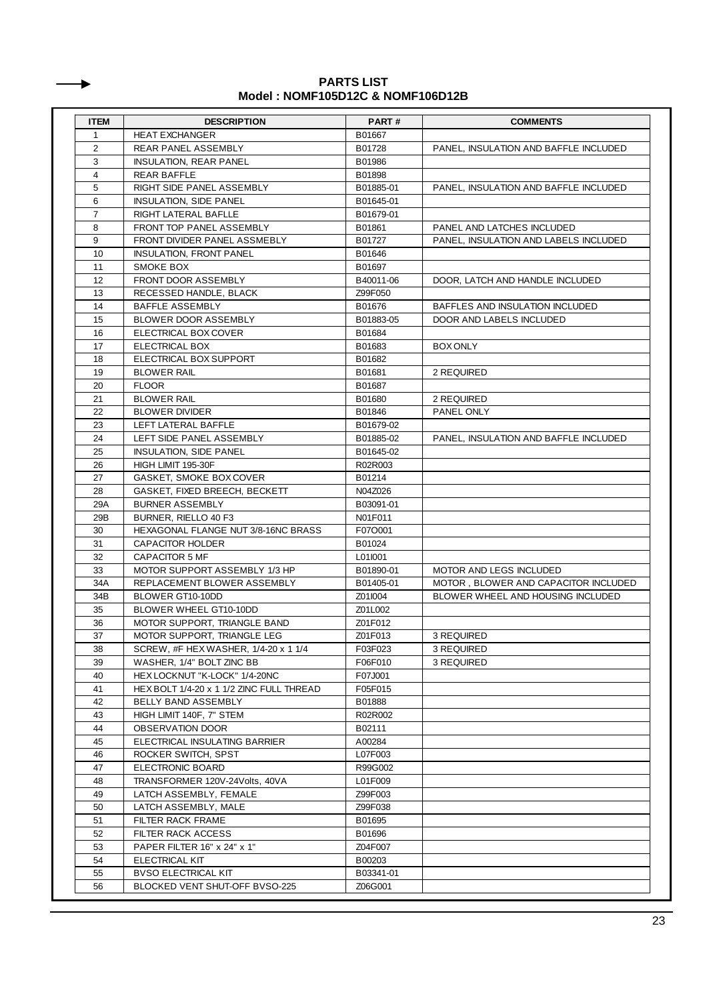#### **Model : NOMF105D12C & NOMF106D12B PARTS LIST**

┺

| <b>ITEM</b><br>$\mathbf{1}$ | <b>DESCRIPTION</b><br><b>HEAT EXCHANGER</b> | PART#<br>B01667 | <b>COMMENTS</b>                       |
|-----------------------------|---------------------------------------------|-----------------|---------------------------------------|
| 2                           | REAR PANEL ASSEMBLY                         | B01728          | PANEL, INSULATION AND BAFFLE INCLUDED |
| 3                           | INSULATION, REAR PANEL                      | B01986          |                                       |
| $\overline{4}$              | <b>REAR BAFFLE</b>                          | B01898          |                                       |
| 5                           | RIGHT SIDE PANEL ASSEMBLY                   | B01885-01       | PANEL, INSULATION AND BAFFLE INCLUDED |
| 6                           | <b>INSULATION, SIDE PANEL</b>               | B01645-01       |                                       |
| $\overline{7}$              | RIGHT LATERAL BAFLLE                        | B01679-01       |                                       |
| 8                           | FRONT TOP PANEL ASSEMBLY                    | B01861          | PANEL AND LATCHES INCLUDED            |
|                             |                                             |                 | PANEL. INSULATION AND LABELS INCLUDED |
| 9                           | FRONT DIVIDER PANEL ASSMEBLY                | B01727          |                                       |
| 10                          | <b>INSULATION, FRONT PANEL</b>              | B01646          |                                       |
| 11                          | SMOKE BOX                                   | B01697          |                                       |
| 12                          | FRONT DOOR ASSEMBLY                         | B40011-06       | DOOR, LATCH AND HANDLE INCLUDED       |
| 13                          | RECESSED HANDLE, BLACK                      | Z99F050         |                                       |
| 14                          | BAFFLE ASSEMBLY                             | B01676          | BAFFLES AND INSULATION INCLUDED       |
| 15                          | BLOWER DOOR ASSEMBLY                        | B01883-05       | DOOR AND LABELS INCLUDED              |
| 16                          | ELECTRICAL BOX COVER                        | B01684          |                                       |
| 17                          | ELECTRICAL BOX                              | B01683          | <b>BOX ONLY</b>                       |
| 18                          | ELECTRICAL BOX SUPPORT                      | B01682          |                                       |
| 19                          | <b>BLOWER RAIL</b>                          | B01681          | 2 REQUIRED                            |
| 20                          | <b>FLOOR</b>                                | B01687          |                                       |
| 21                          | <b>BLOWER RAIL</b>                          | B01680          | 2 REQUIRED                            |
| 22                          | <b>BLOWER DIVIDER</b>                       | B01846          | PANEL ONLY                            |
| 23                          | LEFT LATERAL BAFFLE                         | B01679-02       |                                       |
| 24                          | LEFT SIDE PANEL ASSEMBLY                    | B01885-02       | PANEL. INSULATION AND BAFFLE INCLUDED |
| 25                          | <b>INSULATION, SIDE PANEL</b>               | B01645-02       |                                       |
| 26                          | HIGH LIMIT 195-30F                          | R02R003         |                                       |
| 27                          | GASKET, SMOKE BOX COVER                     | B01214          |                                       |
| 28                          | GASKET, FIXED BREECH, BECKETT               | N04Z026         |                                       |
| 29A                         | <b>BURNER ASSEMBLY</b>                      | B03091-01       |                                       |
| 29B                         | BURNER, RIELLO 40 F3                        | N01F011         |                                       |
| 30                          | HEXAGONAL FLANGE NUT 3/8-16NC BRASS         | F07O001         |                                       |
| 31                          | CAPACITOR HOLDER                            | B01024          |                                       |
| 32                          | CAPACITOR 5 MF                              | L01I001         |                                       |
| 33                          | MOTOR SUPPORT ASSEMBLY 1/3 HP               | B01890-01       | MOTOR AND LEGS INCLUDED               |
| 34A                         | REPLACEMENT BLOWER ASSEMBLY                 | B01405-01       | MOTOR, BLOWER AND CAPACITOR INCLUDED  |
| 34B                         | BLOWER GT10-10DD                            | Z01I004         | BLOWER WHEEL AND HOUSING INCLUDED     |
| 35                          | BLOWER WHEEL GT10-10DD                      | Z01L002         |                                       |
| 36                          | MOTOR SUPPORT, TRIANGLE BAND                |                 |                                       |
|                             |                                             | Z01F012         |                                       |
| 37                          | MOTOR SUPPORT, TRIANGLE LEG                 | Z01F013         | 3 REQUIRED                            |
| 38                          | SCREW, #F HEXWASHER, 1/4-20 x 1 1/4         | F03F023         | 3 REQUIRED                            |
| 39                          | WASHER, 1/4" BOLT ZINC BB                   | F06F010         | 3 REQUIRED                            |
| 40                          | HEX LOCKNUT "K-LOCK" 1/4-20NC               | F07J001         |                                       |
| 41                          | HEX BOLT 1/4-20 x 1 1/2 ZINC FULL THREAD    | F05F015         |                                       |
| 42                          | BELLY BAND ASSEMBLY                         | B01888          |                                       |
| 43                          | HIGH LIMIT 140F, 7" STEM                    | R02R002         |                                       |
| 44                          | OBSERVATION DOOR                            | B02111          |                                       |
| 45                          | ELECTRICAL INSULATING BARRIER               | A00284          |                                       |
| 46                          | ROCKER SWITCH, SPST                         | L07F003         |                                       |
| 47                          | ELECTRONIC BOARD                            | R99G002         |                                       |
| 48                          | TRANSFORMER 120V-24Volts, 40VA              | L01F009         |                                       |
| 49                          | LATCH ASSEMBLY, FEMALE                      | Z99F003         |                                       |
| 50                          | LATCH ASSEMBLY, MALE                        | Z99F038         |                                       |
| 51                          | FILTER RACK FRAME                           | B01695          |                                       |
| 52                          | FILTER RACK ACCESS                          | B01696          |                                       |
| 53                          | PAPER FILTER 16" x 24" x 1"                 | Z04F007         |                                       |
| 54                          | ELECTRICAL KIT                              | B00203          |                                       |
| 55                          | <b>BVSO ELECTRICAL KIT</b>                  | B03341-01       |                                       |
|                             |                                             |                 |                                       |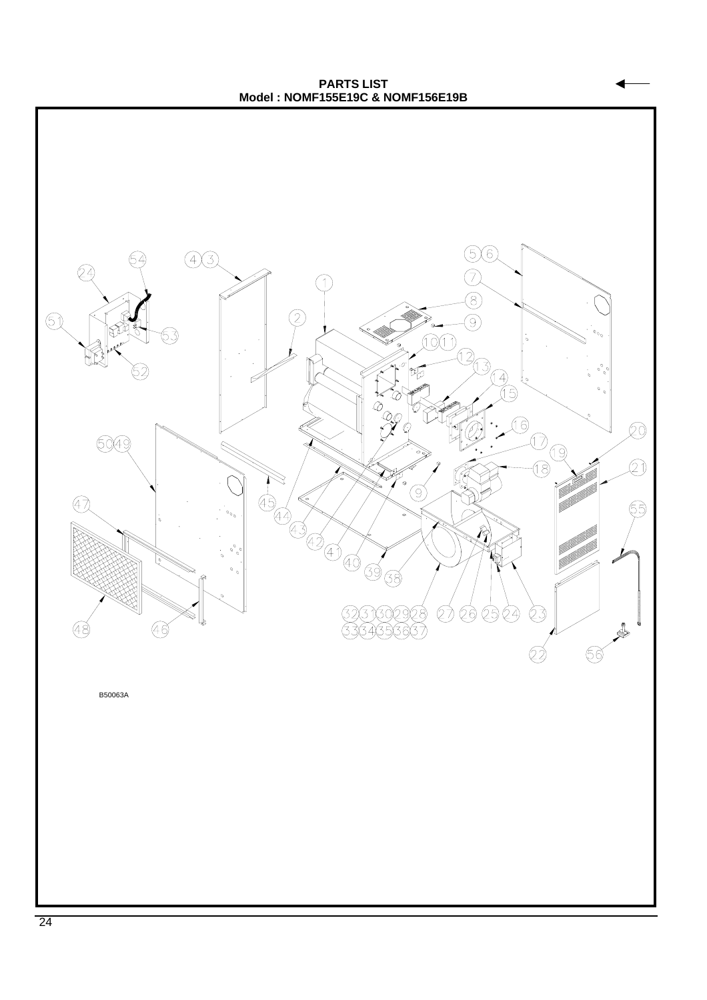**PARTS LIST Model : NOMF155E19C & NOMF156E19B**